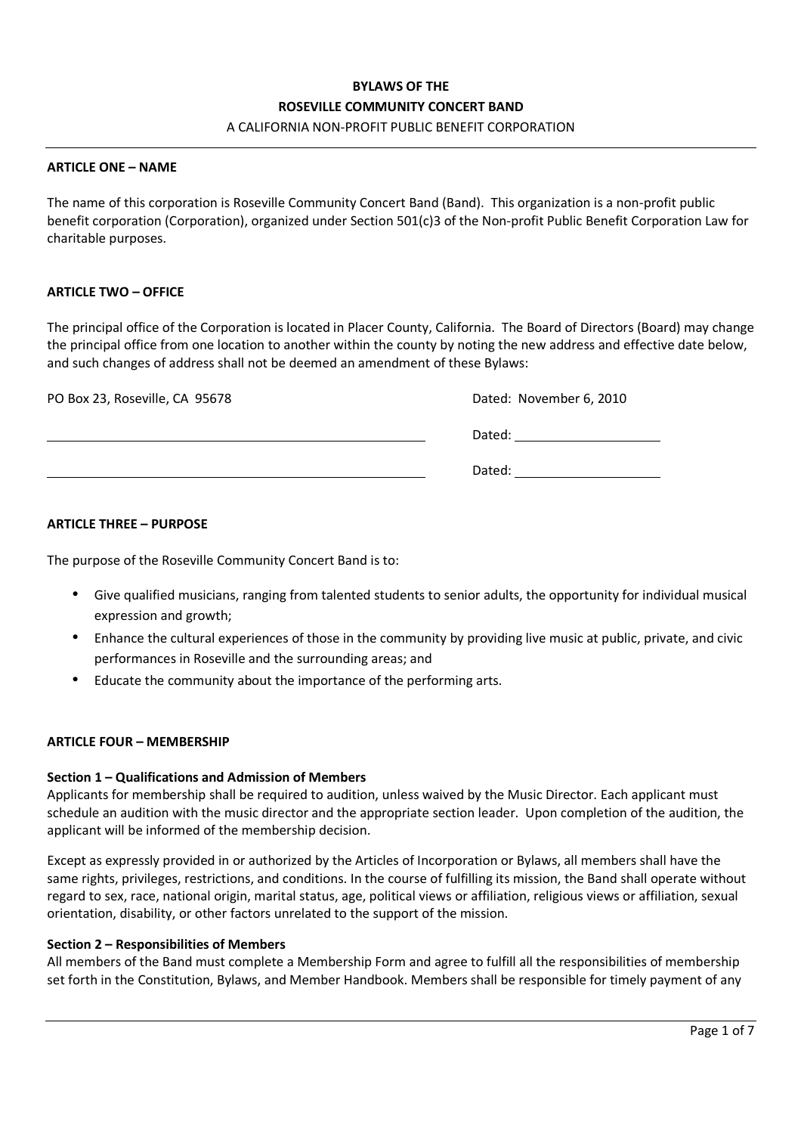# **BYLAWS OF THE ROSEVILLE COMMUNITY CONCERT BAND**

### A CALIFORNIA NON-PROFIT PUBLIC BENEFIT CORPORATION

### **ARTICLE ONE – NAME**

The name of this corporation is Roseville Community Concert Band (Band). This organization is a non-profit public benefit corporation (Corporation), organized under Section 501(c)3 of the Non-profit Public Benefit Corporation Law for charitable purposes.

### **ARTICLE TWO – OFFICE**

The principal office of the Corporation is located in Placer County, California. The Board of Directors (Board) may change the principal office from one location to another within the county by noting the new address and effective date below, and such changes of address shall not be deemed an amendment of these Bylaws:

| PO Box 23, Roseville, CA 95678 | Dated: November 6, 2010 |
|--------------------------------|-------------------------|
|                                | Dated:                  |
|                                | Dated:                  |

### **ARTICLE THREE – PURPOSE**

The purpose of the Roseville Community Concert Band is to:

- Give qualified musicians, ranging from talented students to senior adults, the opportunity for individual musical expression and growth;
- Enhance the cultural experiences of those in the community by providing live music at public, private, and civic performances in Roseville and the surrounding areas; and
- Educate the community about the importance of the performing arts.

### **ARTICLE FOUR – MEMBERSHIP**

### **Section 1 – Qualifications and Admission of Members**

Applicants for membership shall be required to audition, unless waived by the Music Director. Each applicant must schedule an audition with the music director and the appropriate section leader. Upon completion of the audition, the applicant will be informed of the membership decision.

Except as expressly provided in or authorized by the Articles of Incorporation or Bylaws, all members shall have the same rights, privileges, restrictions, and conditions. In the course of fulfilling its mission, the Band shall operate without regard to sex, race, national origin, marital status, age, political views or affiliation, religious views or affiliation, sexual orientation, disability, or other factors unrelated to the support of the mission.

### **Section 2 – Responsibilities of Members**

All members of the Band must complete a Membership Form and agree to fulfill all the responsibilities of membership set forth in the Constitution, Bylaws, and Member Handbook. Members shall be responsible for timely payment of any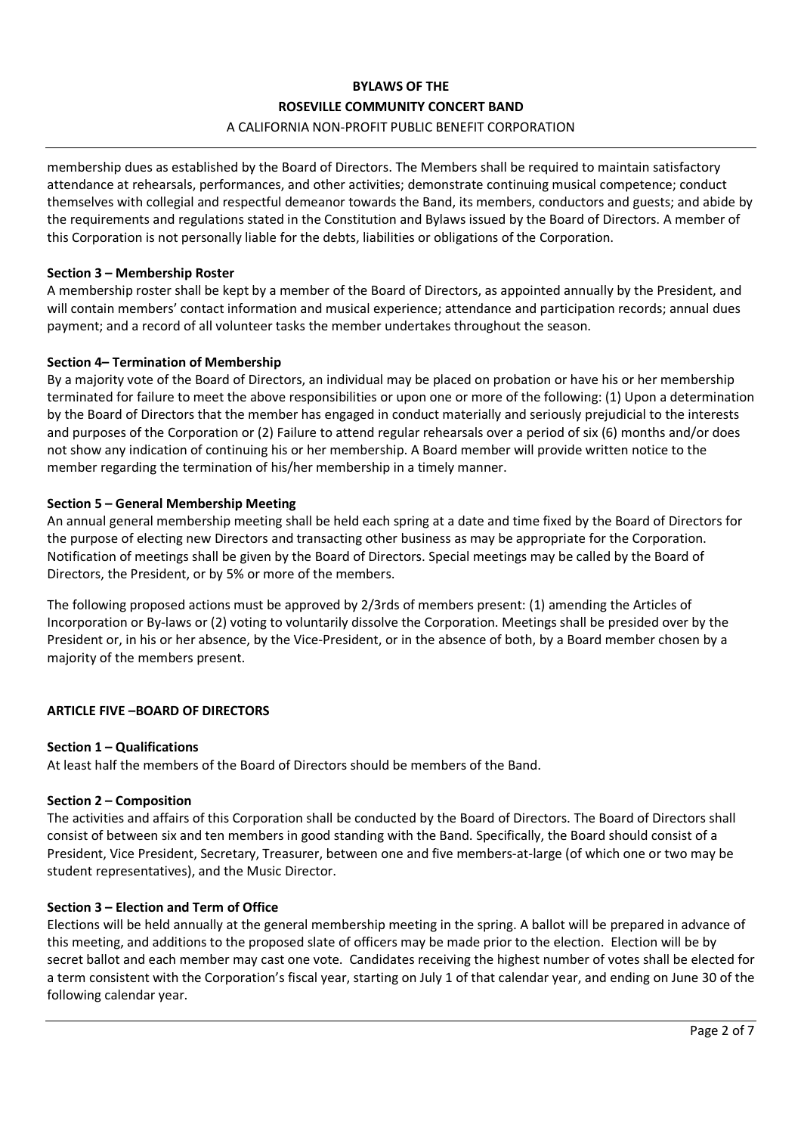membership dues as established by the Board of Directors. The Members shall be required to maintain satisfactory attendance at rehearsals, performances, and other activities; demonstrate continuing musical competence; conduct themselves with collegial and respectful demeanor towards the Band, its members, conductors and guests; and abide by the requirements and regulations stated in the Constitution and Bylaws issued by the Board of Directors. A member of this Corporation is not personally liable for the debts, liabilities or obligations of the Corporation.

### **Section 3 – Membership Roster**

A membership roster shall be kept by a member of the Board of Directors, as appointed annually by the President, and will contain members' contact information and musical experience; attendance and participation records; annual dues payment; and a record of all volunteer tasks the member undertakes throughout the season.

### **Section 4– Termination of Membership**

By a majority vote of the Board of Directors, an individual may be placed on probation or have his or her membership terminated for failure to meet the above responsibilities or upon one or more of the following: (1) Upon a determination by the Board of Directors that the member has engaged in conduct materially and seriously prejudicial to the interests and purposes of the Corporation or (2) Failure to attend regular rehearsals over a period of six (6) months and/or does not show any indication of continuing his or her membership. A Board member will provide written notice to the member regarding the termination of his/her membership in a timely manner.

### **Section 5 – General Membership Meeting**

An annual general membership meeting shall be held each spring at a date and time fixed by the Board of Directors for the purpose of electing new Directors and transacting other business as may be appropriate for the Corporation. Notification of meetings shall be given by the Board of Directors. Special meetings may be called by the Board of Directors, the President, or by 5% or more of the members.

The following proposed actions must be approved by 2/3rds of members present: (1) amending the Articles of Incorporation or By-laws or (2) voting to voluntarily dissolve the Corporation. Meetings shall be presided over by the President or, in his or her absence, by the Vice-President, or in the absence of both, by a Board member chosen by a majority of the members present.

### **ARTICLE FIVE –BOARD OF DIRECTORS**

### **Section 1 – Qualifications**

At least half the members of the Board of Directors should be members of the Band.

### **Section 2 – Composition**

The activities and affairs of this Corporation shall be conducted by the Board of Directors. The Board of Directors shall consist of between six and ten members in good standing with the Band. Specifically, the Board should consist of a President, Vice President, Secretary, Treasurer, between one and five members-at-large (of which one or two may be student representatives), and the Music Director.

### **Section 3 – Election and Term of Office**

Elections will be held annually at the general membership meeting in the spring. A ballot will be prepared in advance of this meeting, and additions to the proposed slate of officers may be made prior to the election. Election will be by secret ballot and each member may cast one vote. Candidates receiving the highest number of votes shall be elected for a term consistent with the Corporation's fiscal year, starting on July 1 of that calendar year, and ending on June 30 of the following calendar year.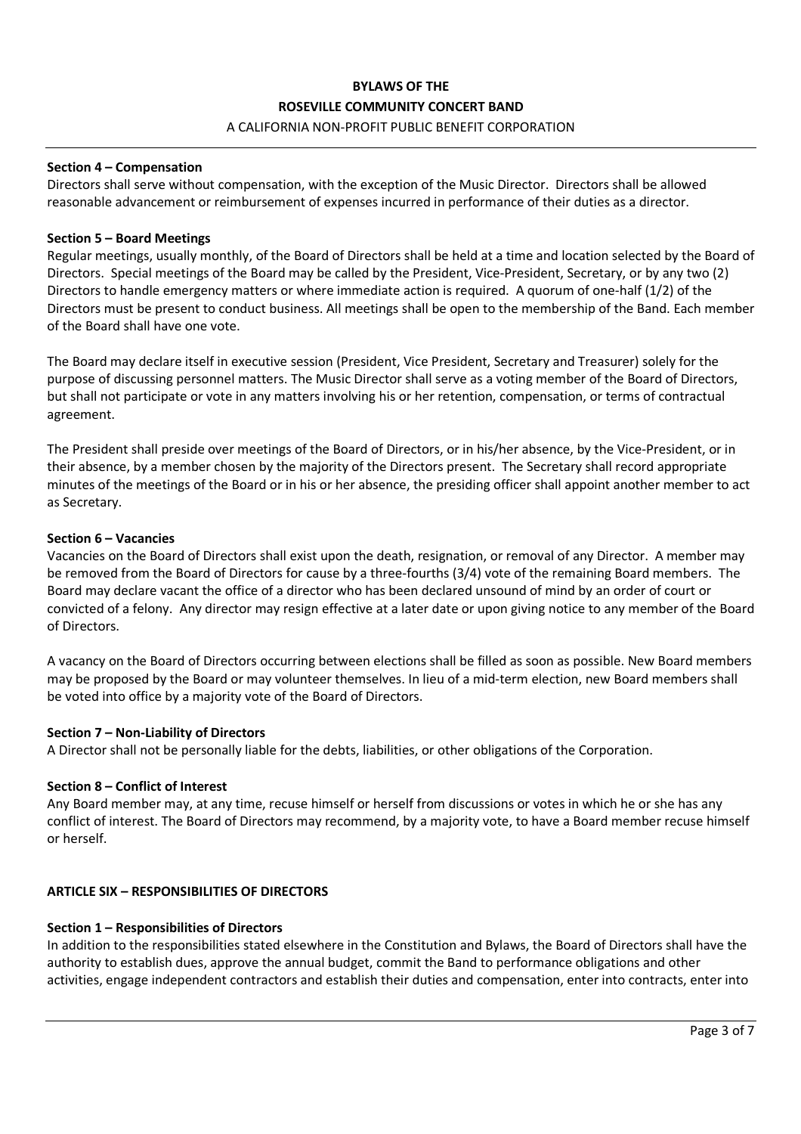### **Section 4 – Compensation**

Directors shall serve without compensation, with the exception of the Music Director. Directors shall be allowed reasonable advancement or reimbursement of expenses incurred in performance of their duties as a director.

### **Section 5 – Board Meetings**

Regular meetings, usually monthly, of the Board of Directors shall be held at a time and location selected by the Board of Directors. Special meetings of the Board may be called by the President, Vice-President, Secretary, or by any two (2) Directors to handle emergency matters or where immediate action is required. A quorum of one-half (1/2) of the Directors must be present to conduct business. All meetings shall be open to the membership of the Band. Each member of the Board shall have one vote.

The Board may declare itself in executive session (President, Vice President, Secretary and Treasurer) solely for the purpose of discussing personnel matters. The Music Director shall serve as a voting member of the Board of Directors, but shall not participate or vote in any matters involving his or her retention, compensation, or terms of contractual agreement.

The President shall preside over meetings of the Board of Directors, or in his/her absence, by the Vice-President, or in their absence, by a member chosen by the majority of the Directors present. The Secretary shall record appropriate minutes of the meetings of the Board or in his or her absence, the presiding officer shall appoint another member to act as Secretary.

### **Section 6 – Vacancies**

Vacancies on the Board of Directors shall exist upon the death, resignation, or removal of any Director. A member may be removed from the Board of Directors for cause by a three-fourths (3/4) vote of the remaining Board members. The Board may declare vacant the office of a director who has been declared unsound of mind by an order of court or convicted of a felony. Any director may resign effective at a later date or upon giving notice to any member of the Board of Directors.

A vacancy on the Board of Directors occurring between elections shall be filled as soon as possible. New Board members may be proposed by the Board or may volunteer themselves. In lieu of a mid-term election, new Board members shall be voted into office by a majority vote of the Board of Directors.

### **Section 7 – Non-Liability of Directors**

A Director shall not be personally liable for the debts, liabilities, or other obligations of the Corporation.

### **Section 8 – Conflict of Interest**

Any Board member may, at any time, recuse himself or herself from discussions or votes in which he or she has any conflict of interest. The Board of Directors may recommend, by a majority vote, to have a Board member recuse himself or herself.

### **ARTICLE SIX – RESPONSIBILITIES OF DIRECTORS**

### **Section 1 – Responsibilities of Directors**

In addition to the responsibilities stated elsewhere in the Constitution and Bylaws, the Board of Directors shall have the authority to establish dues, approve the annual budget, commit the Band to performance obligations and other activities, engage independent contractors and establish their duties and compensation, enter into contracts, enter into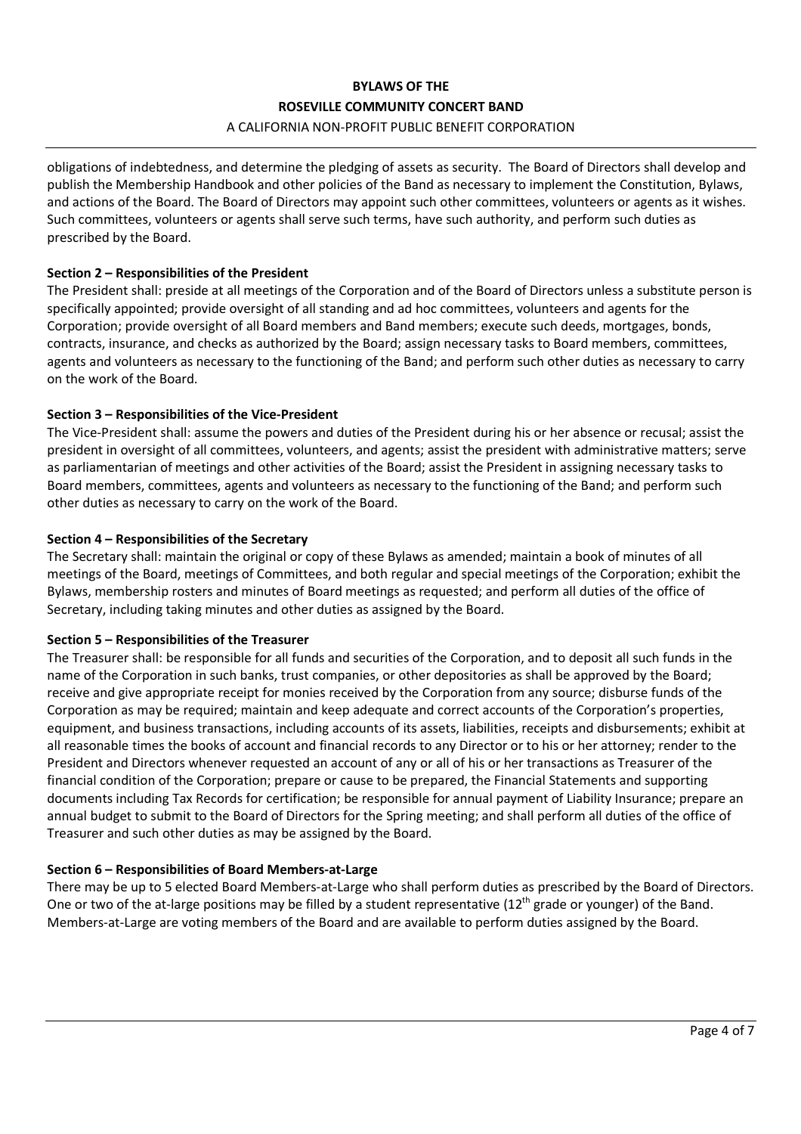obligations of indebtedness, and determine the pledging of assets as security. The Board of Directors shall develop and publish the Membership Handbook and other policies of the Band as necessary to implement the Constitution, Bylaws, and actions of the Board. The Board of Directors may appoint such other committees, volunteers or agents as it wishes. Such committees, volunteers or agents shall serve such terms, have such authority, and perform such duties as prescribed by the Board.

### **Section 2 – Responsibilities of the President**

The President shall: preside at all meetings of the Corporation and of the Board of Directors unless a substitute person is specifically appointed; provide oversight of all standing and ad hoc committees, volunteers and agents for the Corporation; provide oversight of all Board members and Band members; execute such deeds, mortgages, bonds, contracts, insurance, and checks as authorized by the Board; assign necessary tasks to Board members, committees, agents and volunteers as necessary to the functioning of the Band; and perform such other duties as necessary to carry on the work of the Board.

### **Section 3 – Responsibilities of the Vice-President**

The Vice-President shall: assume the powers and duties of the President during his or her absence or recusal; assist the president in oversight of all committees, volunteers, and agents; assist the president with administrative matters; serve as parliamentarian of meetings and other activities of the Board; assist the President in assigning necessary tasks to Board members, committees, agents and volunteers as necessary to the functioning of the Band; and perform such other duties as necessary to carry on the work of the Board.

### **Section 4 – Responsibilities of the Secretary**

The Secretary shall: maintain the original or copy of these Bylaws as amended; maintain a book of minutes of all meetings of the Board, meetings of Committees, and both regular and special meetings of the Corporation; exhibit the Bylaws, membership rosters and minutes of Board meetings as requested; and perform all duties of the office of Secretary, including taking minutes and other duties as assigned by the Board.

### **Section 5 – Responsibilities of the Treasurer**

The Treasurer shall: be responsible for all funds and securities of the Corporation, and to deposit all such funds in the name of the Corporation in such banks, trust companies, or other depositories as shall be approved by the Board; receive and give appropriate receipt for monies received by the Corporation from any source; disburse funds of the Corporation as may be required; maintain and keep adequate and correct accounts of the Corporation's properties, equipment, and business transactions, including accounts of its assets, liabilities, receipts and disbursements; exhibit at all reasonable times the books of account and financial records to any Director or to his or her attorney; render to the President and Directors whenever requested an account of any or all of his or her transactions as Treasurer of the financial condition of the Corporation; prepare or cause to be prepared, the Financial Statements and supporting documents including Tax Records for certification; be responsible for annual payment of Liability Insurance; prepare an annual budget to submit to the Board of Directors for the Spring meeting; and shall perform all duties of the office of Treasurer and such other duties as may be assigned by the Board.

### **Section 6 – Responsibilities of Board Members-at-Large**

There may be up to 5 elected Board Members-at-Large who shall perform duties as prescribed by the Board of Directors. One or two of the at-large positions may be filled by a student representative ( $12<sup>th</sup>$  grade or younger) of the Band. Members-at-Large are voting members of the Board and are available to perform duties assigned by the Board.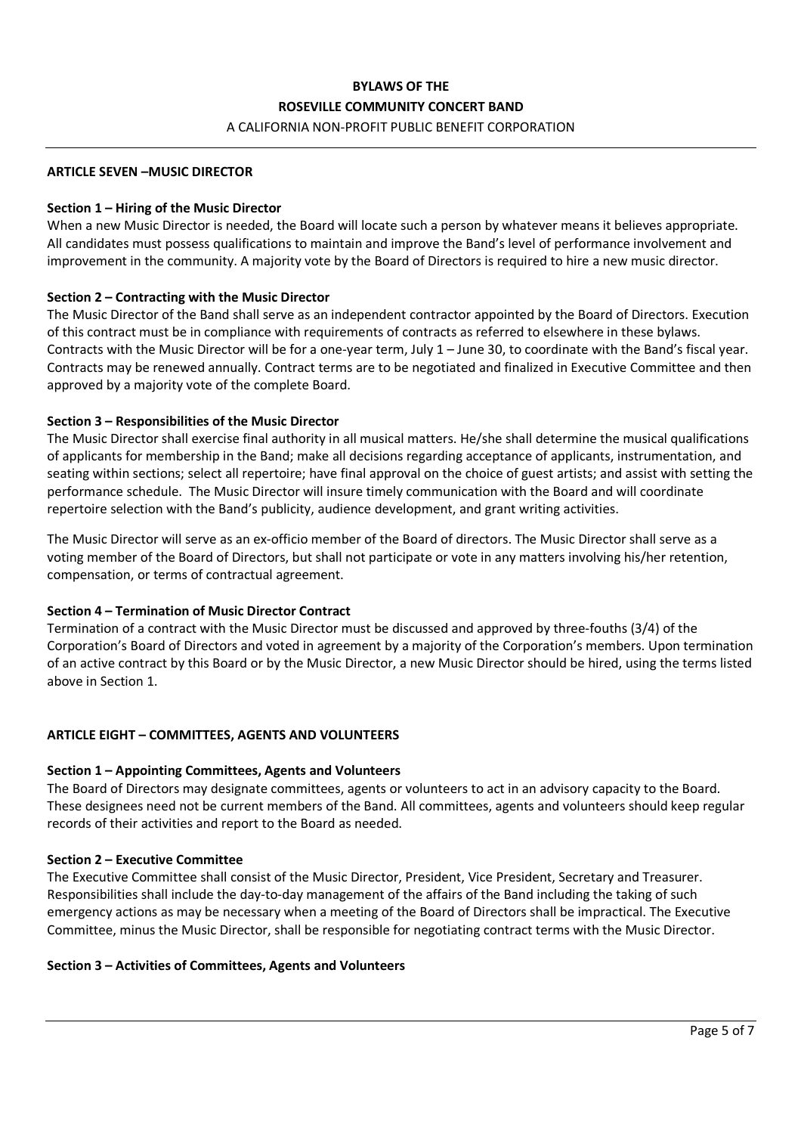### **ARTICLE SEVEN –MUSIC DIRECTOR**

### **Section 1 – Hiring of the Music Director**

When a new Music Director is needed, the Board will locate such a person by whatever means it believes appropriate. All candidates must possess qualifications to maintain and improve the Band's level of performance involvement and improvement in the community. A majority vote by the Board of Directors is required to hire a new music director.

### **Section 2 – Contracting with the Music Director**

The Music Director of the Band shall serve as an independent contractor appointed by the Board of Directors. Execution of this contract must be in compliance with requirements of contracts as referred to elsewhere in these bylaws. Contracts with the Music Director will be for a one-year term, July 1 – June 30, to coordinate with the Band's fiscal year. Contracts may be renewed annually. Contract terms are to be negotiated and finalized in Executive Committee and then approved by a majority vote of the complete Board.

### **Section 3 – Responsibilities of the Music Director**

The Music Director shall exercise final authority in all musical matters. He/she shall determine the musical qualifications of applicants for membership in the Band; make all decisions regarding acceptance of applicants, instrumentation, and seating within sections; select all repertoire; have final approval on the choice of guest artists; and assist with setting the performance schedule. The Music Director will insure timely communication with the Board and will coordinate repertoire selection with the Band's publicity, audience development, and grant writing activities.

The Music Director will serve as an ex-officio member of the Board of directors. The Music Director shall serve as a voting member of the Board of Directors, but shall not participate or vote in any matters involving his/her retention, compensation, or terms of contractual agreement.

### **Section 4 – Termination of Music Director Contract**

Termination of a contract with the Music Director must be discussed and approved by three-fouths (3/4) of the Corporation's Board of Directors and voted in agreement by a majority of the Corporation's members. Upon termination of an active contract by this Board or by the Music Director, a new Music Director should be hired, using the terms listed above in Section 1.

### **ARTICLE EIGHT – COMMITTEES, AGENTS AND VOLUNTEERS**

### **Section 1 – Appointing Committees, Agents and Volunteers**

The Board of Directors may designate committees, agents or volunteers to act in an advisory capacity to the Board. These designees need not be current members of the Band. All committees, agents and volunteers should keep regular records of their activities and report to the Board as needed.

### **Section 2 – Executive Committee**

The Executive Committee shall consist of the Music Director, President, Vice President, Secretary and Treasurer. Responsibilities shall include the day-to-day management of the affairs of the Band including the taking of such emergency actions as may be necessary when a meeting of the Board of Directors shall be impractical. The Executive Committee, minus the Music Director, shall be responsible for negotiating contract terms with the Music Director.

### **Section 3 – Activities of Committees, Agents and Volunteers**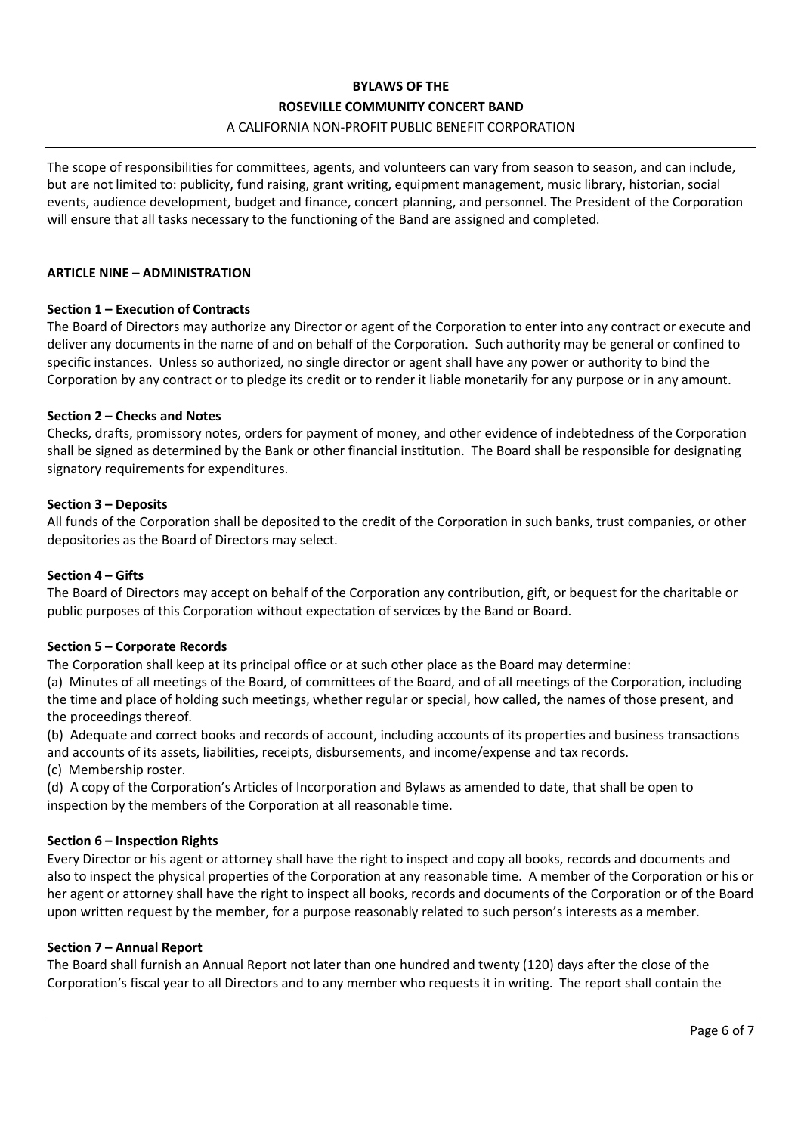# **BYLAWS OF THE ROSEVILLE COMMUNITY CONCERT BAND**

### A CALIFORNIA NON-PROFIT PUBLIC BENEFIT CORPORATION

The scope of responsibilities for committees, agents, and volunteers can vary from season to season, and can include, but are not limited to: publicity, fund raising, grant writing, equipment management, music library, historian, social events, audience development, budget and finance, concert planning, and personnel. The President of the Corporation will ensure that all tasks necessary to the functioning of the Band are assigned and completed.

### **ARTICLE NINE – ADMINISTRATION**

### **Section 1 – Execution of Contracts**

The Board of Directors may authorize any Director or agent of the Corporation to enter into any contract or execute and deliver any documents in the name of and on behalf of the Corporation. Such authority may be general or confined to specific instances. Unless so authorized, no single director or agent shall have any power or authority to bind the Corporation by any contract or to pledge its credit or to render it liable monetarily for any purpose or in any amount.

### **Section 2 – Checks and Notes**

Checks, drafts, promissory notes, orders for payment of money, and other evidence of indebtedness of the Corporation shall be signed as determined by the Bank or other financial institution. The Board shall be responsible for designating signatory requirements for expenditures.

### **Section 3 – Deposits**

All funds of the Corporation shall be deposited to the credit of the Corporation in such banks, trust companies, or other depositories as the Board of Directors may select.

### **Section 4 – Gifts**

The Board of Directors may accept on behalf of the Corporation any contribution, gift, or bequest for the charitable or public purposes of this Corporation without expectation of services by the Band or Board.

### **Section 5 – Corporate Records**

The Corporation shall keep at its principal office or at such other place as the Board may determine:

(a) Minutes of all meetings of the Board, of committees of the Board, and of all meetings of the Corporation, including the time and place of holding such meetings, whether regular or special, how called, the names of those present, and the proceedings thereof.

(b) Adequate and correct books and records of account, including accounts of its properties and business transactions and accounts of its assets, liabilities, receipts, disbursements, and income/expense and tax records.

(c) Membership roster.

(d) A copy of the Corporation's Articles of Incorporation and Bylaws as amended to date, that shall be open to inspection by the members of the Corporation at all reasonable time.

### **Section 6 – Inspection Rights**

Every Director or his agent or attorney shall have the right to inspect and copy all books, records and documents and also to inspect the physical properties of the Corporation at any reasonable time. A member of the Corporation or his or her agent or attorney shall have the right to inspect all books, records and documents of the Corporation or of the Board upon written request by the member, for a purpose reasonably related to such person's interests as a member.

### **Section 7 – Annual Report**

The Board shall furnish an Annual Report not later than one hundred and twenty (120) days after the close of the Corporation's fiscal year to all Directors and to any member who requests it in writing. The report shall contain the